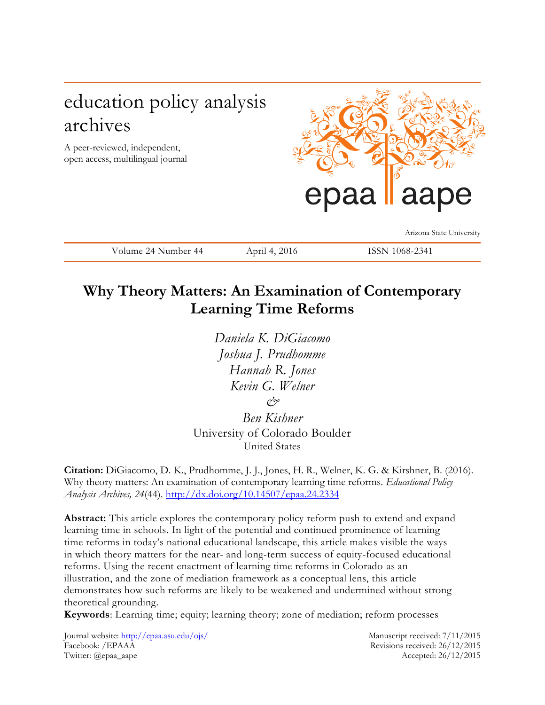# education policy analysis archives

A peer-reviewed, independent, open access, multilingual journal



Arizona State University

Volume 24 Number 44 April 4, 2016 ISSN 1068-2341

## **Why Theory Matters: An Examination of Contemporary Learning Time Reforms**

*Daniela K. DiGiacomo Joshua J. Prudhomme Hannah R. Jones Kevin G. Welner &*

*Ben Kishner* University of Colorado Boulder United States

**Citation:** DiGiacomo, D. K., Prudhomme, J. J., Jones, H. R., Welner, K. G. & Kirshner, B. (2016). Why theory matters: An examination of contemporary learning time reforms. *Educational Policy Analysis Archives, 24*(44). <http://dx.doi.org/10.14507/epaa.24.2334>

**Abstract:** This article explores the contemporary policy reform push to extend and expand learning time in schools. In light of the potential and continued prominence of learning time reforms in today's national educational landscape, this article makes visible the ways in which theory matters for the near- and long-term success of equity-focused educational reforms. Using the recent enactment of learning time reforms in Colorado as an illustration, and the zone of mediation framework as a conceptual lens, this article demonstrates how such reforms are likely to be weakened and undermined without strong theoretical grounding.

**Keywords**: Learning time; equity; learning theory; zone of mediation; reform processes

Journal website:<http://epaa.asu.edu/ojs/> Manuscript received: 7/11/2015 Facebook: /EPAAA Revisions received: 26/12/2015 Twitter: @epaa\_aape Accepted: 26/12/2015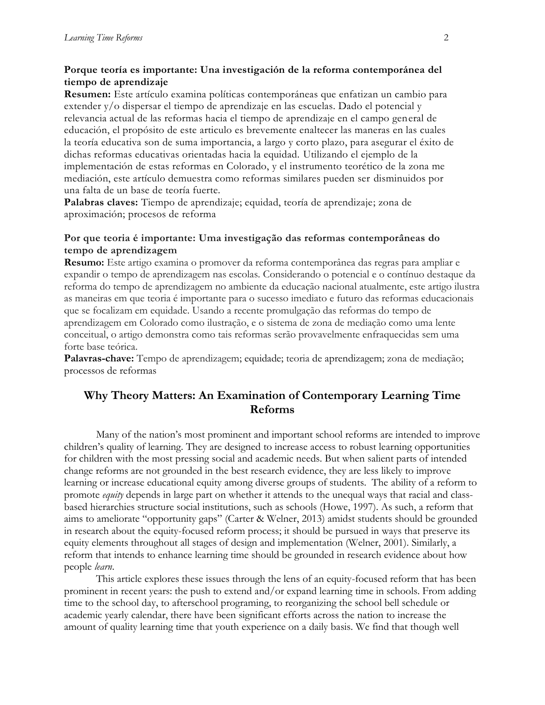### **Porque teoría es importante: Una investigación de la reforma contemporánea del tiempo de aprendizaje**

**Resumen:** Este artículo examina políticas contemporáneas que enfatizan un cambio para extender y/o dispersar el tiempo de aprendizaje en las escuelas. Dado el potencial y relevancia actual de las reformas hacia el tiempo de aprendizaje en el campo general de educación, el propósito de este articulo es brevemente enaltecer las maneras en las cuales la teoría educativa son de suma importancia, a largo y corto plazo, para asegurar el éxito de dichas reformas educativas orientadas hacia la equidad. Utilizando el ejemplo de la implementación de estas reformas en Colorado, y el instrumento teorético de la zona me mediación, este artículo demuestra como reformas similares pueden ser disminuidos por una falta de un base de teoría fuerte.

**Palabras claves:** Tiempo de aprendizaje; equidad, teoría de aprendizaje; zona de aproximación; procesos de reforma

### **Por que teoria é importante: Uma investigação das reformas contemporâneas do tempo de aprendizagem**

**Resumo:** Este artigo examina o promover da reforma contemporânea das regras para ampliar e expandir o tempo de aprendizagem nas escolas. Considerando o potencial e o contínuo destaque da reforma do tempo de aprendizagem no ambiente da educação nacional atualmente, este artigo ilustra as maneiras em que teoria é importante para o sucesso imediato e futuro das reformas educacionais que se focalizam em equidade. Usando a recente promulgação das reformas do tempo de aprendizagem em Colorado como ilustração, e o sistema de zona de mediação como uma lente conceitual, o artigo demonstra como tais reformas serão provavelmente enfraquecidas sem uma forte base teórica.

**Palavras-chave:** Tempo de aprendizagem; equidade; teoria de aprendizagem; zona de mediação; processos de reformas

## **Why Theory Matters: An Examination of Contemporary Learning Time Reforms**

Many of the nation's most prominent and important school reforms are intended to improve children's quality of learning. They are designed to increase access to robust learning opportunities for children with the most pressing social and academic needs. But when salient parts of intended change reforms are not grounded in the best research evidence, they are less likely to improve learning or increase educational equity among diverse groups of students. The ability of a reform to promote *equity* depends in large part on whether it attends to the unequal ways that racial and classbased hierarchies structure social institutions, such as schools (Howe, 1997). As such, a reform that aims to ameliorate "opportunity gaps" (Carter & Welner, 2013) amidst students should be grounded in research about the equity-focused reform process; it should be pursued in ways that preserve its equity elements throughout all stages of design and implementation (Welner, 2001). Similarly, a reform that intends to enhance learning time should be grounded in research evidence about how people *learn*.

This article explores these issues through the lens of an equity-focused reform that has been prominent in recent years: the push to extend and/or expand learning time in schools. From adding time to the school day, to afterschool programing, to reorganizing the school bell schedule or academic yearly calendar, there have been significant efforts across the nation to increase the amount of quality learning time that youth experience on a daily basis. We find that though well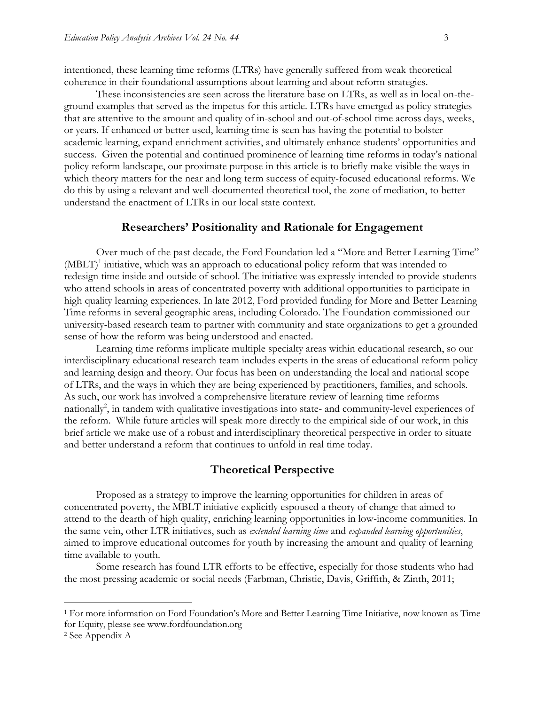intentioned, these learning time reforms (LTRs) have generally suffered from weak theoretical coherence in their foundational assumptions about learning and about reform strategies.

These inconsistencies are seen across the literature base on LTRs, as well as in local on-theground examples that served as the impetus for this article. LTRs have emerged as policy strategies that are attentive to the amount and quality of in-school and out-of-school time across days, weeks, or years. If enhanced or better used, learning time is seen has having the potential to bolster academic learning, expand enrichment activities, and ultimately enhance students' opportunities and success. Given the potential and continued prominence of learning time reforms in today's national policy reform landscape, our proximate purpose in this article is to briefly make visible the ways in which theory matters for the near and long term success of equity-focused educational reforms. We do this by using a relevant and well-documented theoretical tool, the zone of mediation, to better understand the enactment of LTRs in our local state context.

### **Researchers' Positionality and Rationale for Engagement**

Over much of the past decade, the Ford Foundation led a "More and Better Learning Time" (MBLT)<sup>1</sup> initiative, which was an approach to educational policy reform that was intended to redesign time inside and outside of school. The initiative was expressly intended to provide students who attend schools in areas of concentrated poverty with additional opportunities to participate in high quality learning experiences. In late 2012, Ford provided funding for More and Better Learning Time reforms in several geographic areas, including Colorado. The Foundation commissioned our university-based research team to partner with community and state organizations to get a grounded sense of how the reform was being understood and enacted.

Learning time reforms implicate multiple specialty areas within educational research, so our interdisciplinary educational research team includes experts in the areas of educational reform policy and learning design and theory. Our focus has been on understanding the local and national scope of LTRs, and the ways in which they are being experienced by practitioners, families, and schools. As such, our work has involved a comprehensive literature review of learning time reforms nationally<sup>2</sup>, in tandem with qualitative investigations into state- and community-level experiences of the reform. While future articles will speak more directly to the empirical side of our work, in this brief article we make use of a robust and interdisciplinary theoretical perspective in order to situate and better understand a reform that continues to unfold in real time today.

### **Theoretical Perspective**

Proposed as a strategy to improve the learning opportunities for children in areas of concentrated poverty, the MBLT initiative explicitly espoused a theory of change that aimed to attend to the dearth of high quality, enriching learning opportunities in low-income communities. In the same vein, other LTR initiatives, such as *extended learning time* and *expanded learning opportunities*, aimed to improve educational outcomes for youth by increasing the amount and quality of learning time available to youth.

Some research has found LTR efforts to be effective, especially for those students who had the most pressing academic or social needs (Farbman, Christie, Davis, Griffith, & Zinth, 2011;

 $\overline{a}$ 

<sup>1</sup> For more information on Ford Foundation's More and Better Learning Time Initiative, now known as Time for Equity, please see www.fordfoundation.org

<sup>2</sup> See Appendix A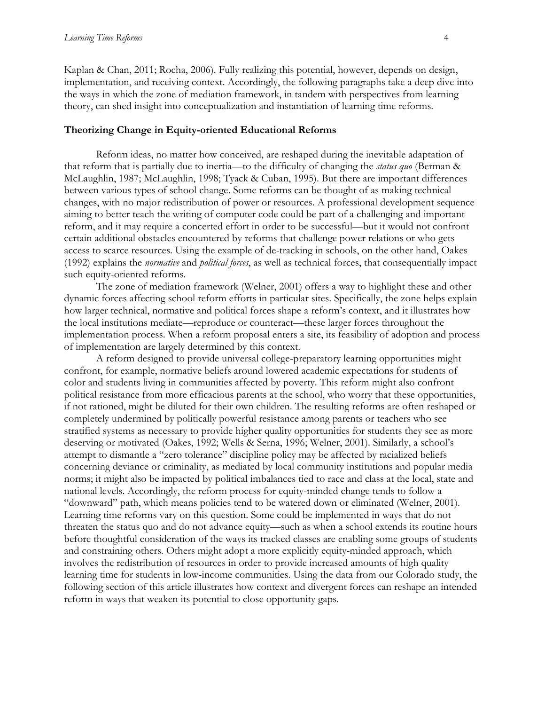Kaplan & Chan, 2011; Rocha, 2006). Fully realizing this potential, however, depends on design, implementation, and receiving context. Accordingly, the following paragraphs take a deep dive into the ways in which the zone of mediation framework, in tandem with perspectives from learning theory, can shed insight into conceptualization and instantiation of learning time reforms.

#### **Theorizing Change in Equity-oriented Educational Reforms**

Reform ideas, no matter how conceived, are reshaped during the inevitable adaptation of that reform that is partially due to inertia—to the difficulty of changing the *status quo* (Berman & McLaughlin, 1987; McLaughlin, 1998; Tyack & Cuban, 1995). But there are important differences between various types of school change. Some reforms can be thought of as making technical changes, with no major redistribution of power or resources. A professional development sequence aiming to better teach the writing of computer code could be part of a challenging and important reform, and it may require a concerted effort in order to be successful—but it would not confront certain additional obstacles encountered by reforms that challenge power relations or who gets access to scarce resources. Using the example of de-tracking in schools, on the other hand, Oakes (1992) explains the *normative* and *political forces*, as well as technical forces, that consequentially impact such equity-oriented reforms.

The zone of mediation framework (Welner, 2001) offers a way to highlight these and other dynamic forces affecting school reform efforts in particular sites. Specifically, the zone helps explain how larger technical, normative and political forces shape a reform's context, and it illustrates how the local institutions mediate—reproduce or counteract—these larger forces throughout the implementation process. When a reform proposal enters a site, its feasibility of adoption and process of implementation are largely determined by this context.

A reform designed to provide universal college-preparatory learning opportunities might confront, for example, normative beliefs around lowered academic expectations for students of color and students living in communities affected by poverty. This reform might also confront political resistance from more efficacious parents at the school, who worry that these opportunities, if not rationed, might be diluted for their own children. The resulting reforms are often reshaped or completely undermined by politically powerful resistance among parents or teachers who see stratified systems as necessary to provide higher quality opportunities for students they see as more deserving or motivated (Oakes, 1992; Wells & Serna, 1996; Welner, 2001). Similarly, a school's attempt to dismantle a "zero tolerance" discipline policy may be affected by racialized beliefs concerning deviance or criminality, as mediated by local community institutions and popular media norms; it might also be impacted by political imbalances tied to race and class at the local, state and national levels. Accordingly, the reform process for equity-minded change tends to follow a "downward" path, which means policies tend to be watered down or eliminated (Welner, 2001). Learning time reforms vary on this question. Some could be implemented in ways that do not threaten the status quo and do not advance equity—such as when a school extends its routine hours before thoughtful consideration of the ways its tracked classes are enabling some groups of students and constraining others. Others might adopt a more explicitly equity-minded approach, which involves the redistribution of resources in order to provide increased amounts of high quality learning time for students in low-income communities. Using the data from our Colorado study, the following section of this article illustrates how context and divergent forces can reshape an intended reform in ways that weaken its potential to close opportunity gaps.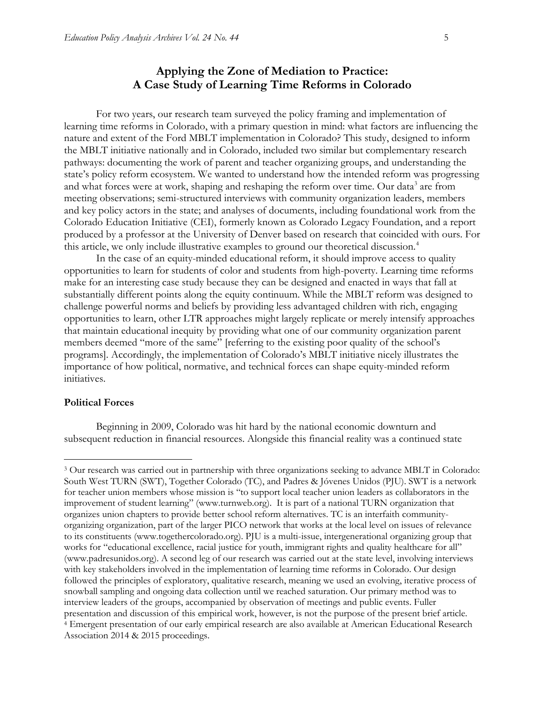For two years, our research team surveyed the policy framing and implementation of learning time reforms in Colorado, with a primary question in mind: what factors are influencing the nature and extent of the Ford MBLT implementation in Colorado? This study, designed to inform the MBLT initiative nationally and in Colorado, included two similar but complementary research pathways: documenting the work of parent and teacher organizing groups, and understanding the state's policy reform ecosystem. We wanted to understand how the intended reform was progressing and what forces were at work, shaping and reshaping the reform over time. Our data<sup>3</sup> are from meeting observations; semi-structured interviews with community organization leaders, members and key policy actors in the state; and analyses of documents, including foundational work from the Colorado Education Initiative (CEI), formerly known as Colorado Legacy Foundation, and a report produced by a professor at the University of Denver based on research that coincided with ours. For this article, we only include illustrative examples to ground our theoretical discussion.<sup>4</sup>

In the case of an equity-minded educational reform, it should improve access to quality opportunities to learn for students of color and students from high-poverty. Learning time reforms make for an interesting case study because they can be designed and enacted in ways that fall at substantially different points along the equity continuum. While the MBLT reform was designed to challenge powerful norms and beliefs by providing less advantaged children with rich, engaging opportunities to learn, other LTR approaches might largely replicate or merely intensify approaches that maintain educational inequity by providing what one of our community organization parent members deemed "more of the same" [referring to the existing poor quality of the school's programs]. Accordingly, the implementation of Colorado's MBLT initiative nicely illustrates the importance of how political, normative, and technical forces can shape equity-minded reform initiatives.

#### **Political Forces**

 $\overline{a}$ 

Beginning in 2009, Colorado was hit hard by the national economic downturn and subsequent reduction in financial resources. Alongside this financial reality was a continued state

<sup>3</sup> Our research was carried out in partnership with three organizations seeking to advance MBLT in Colorado: South West TURN (SWT), Together Colorado (TC), and Padres & Jóvenes Unidos (PJU). SWT is a network for teacher union members whose mission is "to support local teacher union leaders as collaborators in the improvement of student learning" ([www.turnweb.org\).](http://www.turnweb.org)/) It is part of a national TURN organization that organizes union chapters to provide better school reform alternatives. TC is an interfaith communityorganizing organization, part of the larger PICO network that works at the local level on issues of relevance to its constituents (www.togethercolorado.org). PJU is a multi-issue, intergenerational organizing group that works for "educational excellence, racial justice for youth, immigrant rights and quality healthcare for all" (www.padresunidos.org). A second leg of our research was carried out at the state level, involving interviews with key stakeholders involved in the implementation of learning time reforms in Colorado. Our design followed the principles of exploratory, qualitative research, meaning we used an evolving, iterative process of snowball sampling and ongoing data collection until we reached saturation. Our primary method was to interview leaders of the groups, accompanied by observation of meetings and public events. Fuller presentation and discussion of this empirical work, however, is not the purpose of the present brief article. <sup>4</sup> Emergent presentation of our early empirical research are also available at American Educational Research Association 2014 & 2015 proceedings.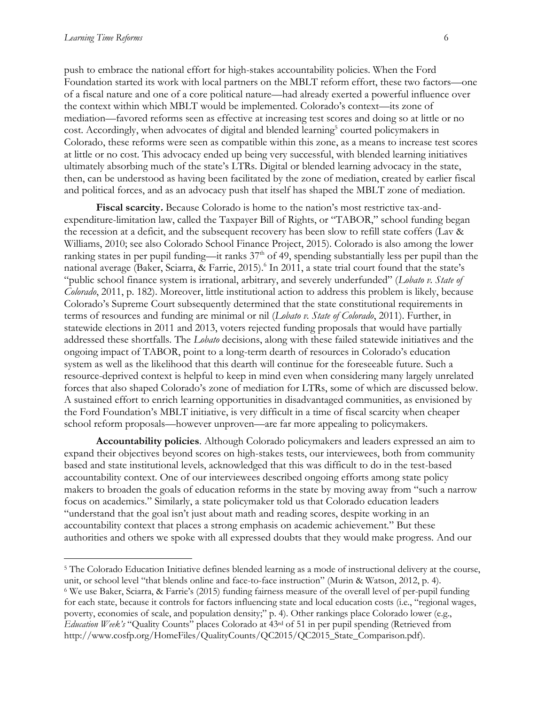$\overline{a}$ 

push to embrace the national effort for high-stakes accountability policies. When the Ford Foundation started its work with local partners on the MBLT reform effort, these two factors—one of a fiscal nature and one of a core political nature—had already exerted a powerful influence over the context within which MBLT would be implemented. Colorado's context—its zone of mediation—favored reforms seen as effective at increasing test scores and doing so at little or no cost. Accordingly, when advocates of digital and blended learning<sup>5</sup> courted policymakers in Colorado, these reforms were seen as compatible within this zone, as a means to increase test scores at little or no cost. This advocacy ended up being very successful, with blended learning initiatives ultimately absorbing much of the state's LTRs. Digital or blended learning advocacy in the state, then, can be understood as having been facilitated by the zone of mediation, created by earlier fiscal and political forces, and as an advocacy push that itself has shaped the MBLT zone of mediation.

**Fiscal scarcity.** Because Colorado is home to the nation's most restrictive tax-andexpenditure-limitation law, called the Taxpayer Bill of Rights, or "TABOR," school funding began the recession at a deficit, and the subsequent recovery has been slow to refill state coffers (Lav & Williams, 2010; see also Colorado School Finance Project, 2015). Colorado is also among the lower ranking states in per pupil funding—it ranks  $37<sup>th</sup>$  of 49, spending substantially less per pupil than the national average (Baker, Sciarra, & Farrie, 2015).<sup>6</sup> In 2011, a state trial court found that the state's "public school finance system is irrational, arbitrary, and severely underfunded" (*Lobato v. State of Colorado*, 2011, p. 182). Moreover, little institutional action to address this problem is likely, because Colorado's Supreme Court subsequently determined that the state constitutional requirements in terms of resources and funding are minimal or nil (*Lobato v. State of Colorado*, 2011). Further, in statewide elections in 2011 and 2013, voters rejected funding proposals that would have partially addressed these shortfalls. The *Lobato* decisions, along with these failed statewide initiatives and the ongoing impact of TABOR, point to a long-term dearth of resources in Colorado's education system as well as the likelihood that this dearth will continue for the foreseeable future. Such a resource-deprived context is helpful to keep in mind even when considering many largely unrelated forces that also shaped Colorado's zone of mediation for LTRs, some of which are discussed below. A sustained effort to enrich learning opportunities in disadvantaged communities, as envisioned by the Ford Foundation's MBLT initiative, is very difficult in a time of fiscal scarcity when cheaper school reform proposals—however unproven—are far more appealing to policymakers.

**Accountability policies**. Although Colorado policymakers and leaders expressed an aim to expand their objectives beyond scores on high-stakes tests, our interviewees, both from community based and state institutional levels, acknowledged that this was difficult to do in the test-based accountability context. One of our interviewees described ongoing efforts among state policy makers to broaden the goals of education reforms in the state by moving away from "such a narrow focus on academics." Similarly, a state policymaker told us that Colorado education leaders "understand that the goal isn't just about math and reading scores, despite working in an accountability context that places a strong emphasis on academic achievement." But these authorities and others we spoke with all expressed doubts that they would make progress. And our

<sup>5</sup> The Colorado Education Initiative defines blended learning as a mode of instructional delivery at the course, unit, or school level "that blends online and face-to-face instruction" (Murin & Watson, 2012, p. 4). <sup>6</sup> We use Baker, Sciarra, & Farrie's (2015) funding fairness measure of the overall level of per-pupil funding for each state, because it controls for factors influencing state and local education costs (i.e., "regional wages, poverty, economies of scale, and population density;" p. 4). Other rankings place Colorado lower (e.g., *Education Week's* "Quality Counts" places Colorado at 43rd of 51 in per pupil spending (Retrieved from [http://www.cosfp.org/HomeFiles/QualityCounts/QC2015/QC2015\\_State\\_Comparison.pdf\)](http://www.cosfp.org/HomeFiles/QualityCounts/QC2015/QC2015_State_Comparison.pdf).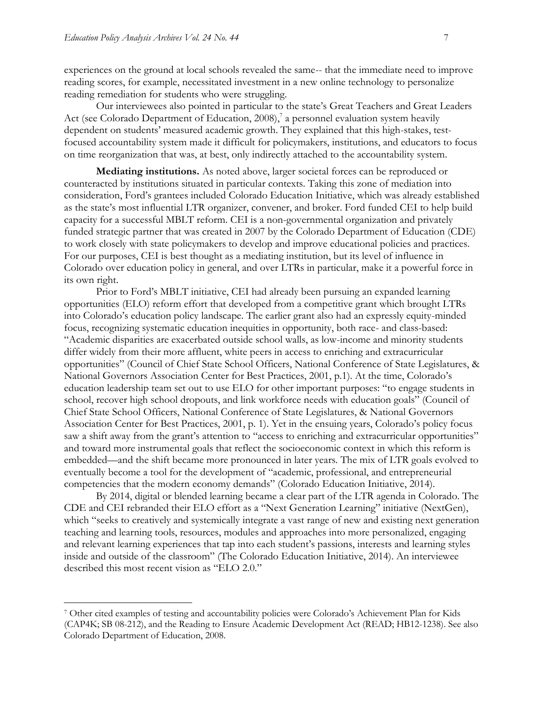$\overline{a}$ 

experiences on the ground at local schools revealed the same-- that the immediate need to improve reading scores, for example, necessitated investment in a new online technology to personalize reading remediation for students who were struggling.

Our interviewees also pointed in particular to the state's Great Teachers and Great Leaders Act (see Colorado Department of Education, 2008),<sup>7</sup> a personnel evaluation system heavily dependent on students' measured academic growth. They explained that this high-stakes, testfocused accountability system made it difficult for policymakers, institutions, and educators to focus on time reorganization that was, at best, only indirectly attached to the accountability system.

**Mediating institutions.** As noted above, larger societal forces can be reproduced or counteracted by institutions situated in particular contexts. Taking this zone of mediation into consideration, Ford's grantees included Colorado Education Initiative, which was already established as the state's most influential LTR organizer, convener, and broker. Ford funded CEI to help build capacity for a successful MBLT reform. CEI is a non-governmental organization and privately funded strategic partner that was created in 2007 by the Colorado Department of Education (CDE) to work closely with state policymakers to develop and improve educational policies and practices. For our purposes, CEI is best thought as a mediating institution, but its level of influence in Colorado over education policy in general, and over LTRs in particular, make it a powerful force in its own right.

Prior to Ford's MBLT initiative, CEI had already been pursuing an expanded learning opportunities (ELO) reform effort that developed from a competitive grant which brought LTRs into Colorado's education policy landscape. The earlier grant also had an expressly equity-minded focus, recognizing systematic education inequities in opportunity, both race- and class-based: "Academic disparities are exacerbated outside school walls, as low-income and minority students differ widely from their more affluent, white peers in access to enriching and extracurricular opportunities" (Council of Chief State School Officers, National Conference of State Legislatures, & National Governors Association Center for Best Practices, 2001, p.1). At the time, Colorado's education leadership team set out to use ELO for other important purposes: "to engage students in school, recover high school dropouts, and link workforce needs with education goals" (Council of Chief State School Officers, National Conference of State Legislatures, & National Governors Association Center for Best Practices, 2001, p. 1). Yet in the ensuing years, Colorado's policy focus saw a shift away from the grant's attention to "access to enriching and extracurricular opportunities" and toward more instrumental goals that reflect the socioeconomic context in which this reform is embedded—and the shift became more pronounced in later years. The mix of LTR goals evolved to eventually become a tool for the development of "academic, professional, and entrepreneurial competencies that the modern economy demands" (Colorado Education Initiative, 2014).

By 2014, digital or blended learning became a clear part of the LTR agenda in Colorado. The CDE and CEI rebranded their ELO effort as a "Next Generation Learning" initiative (NextGen), which "seeks to creatively and systemically integrate a vast range of new and existing next generation teaching and learning tools, resources, modules and approaches into more personalized, engaging and relevant learning experiences that tap into each student's passions, interests and learning styles inside and outside of the classroom" (The Colorado Education Initiative, 2014). An interviewee described this most recent vision as "ELO 2.0."

<sup>7</sup> Other cited examples of testing and accountability policies were Colorado's Achievement Plan for Kids (CAP4K; SB 08-212), and the Reading to Ensure Academic Development Act (READ; HB12-1238). See also Colorado Department of Education, 2008.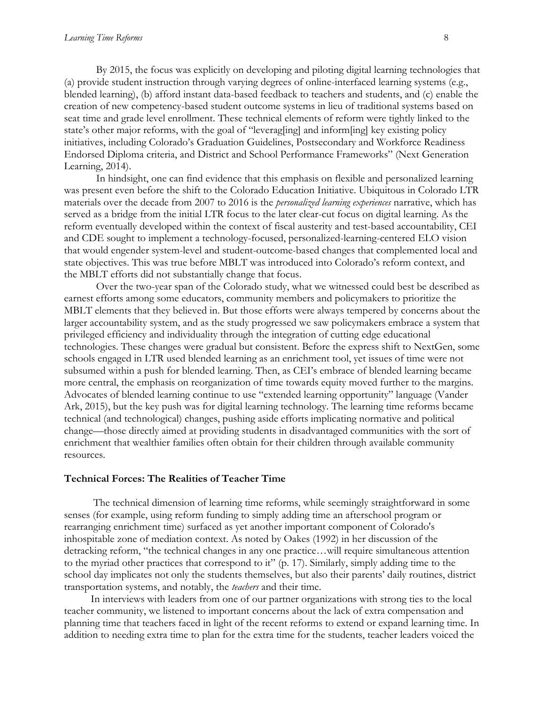By 2015, the focus was explicitly on developing and piloting digital learning technologies that (a) provide student instruction through varying degrees of online-interfaced learning systems (e.g., blended learning), (b) afford instant data-based feedback to teachers and students, and (c) enable the creation of new competency-based student outcome systems in lieu of traditional systems based on seat time and grade level enrollment. These technical elements of reform were tightly linked to the state's other major reforms, with the goal of "leverag[ing] and inform[ing] key existing policy initiatives, including Colorado's Graduation Guidelines, Postsecondary and Workforce Readiness Endorsed Diploma criteria, and District and School Performance Frameworks" (Next Generation Learning, 2014).

In hindsight, one can find evidence that this emphasis on flexible and personalized learning was present even before the shift to the Colorado Education Initiative. Ubiquitous in Colorado LTR materials over the decade from 2007 to 2016 is the *personalized learning experiences* narrative, which has served as a bridge from the initial LTR focus to the later clear-cut focus on digital learning. As the reform eventually developed within the context of fiscal austerity and test-based accountability, CEI and CDE sought to implement a technology-focused, personalized-learning-centered ELO vision that would engender system-level and student-outcome-based changes that complemented local and state objectives. This was true before MBLT was introduced into Colorado's reform context, and the MBLT efforts did not substantially change that focus.

Over the two-year span of the Colorado study, what we witnessed could best be described as earnest efforts among some educators, community members and policymakers to prioritize the MBLT elements that they believed in. But those efforts were always tempered by concerns about the larger accountability system, and as the study progressed we saw policymakers embrace a system that privileged efficiency and individuality through the integration of cutting edge educational technologies. These changes were gradual but consistent. Before the express shift to NextGen, some schools engaged in LTR used blended learning as an enrichment tool, yet issues of time were not subsumed within a push for blended learning. Then, as CEI's embrace of blended learning became more central, the emphasis on reorganization of time towards equity moved further to the margins. Advocates of blended learning continue to use "extended learning opportunity" language (Vander Ark, 2015), but the key push was for digital learning technology. The learning time reforms became technical (and technological) changes, pushing aside efforts implicating normative and political change—those directly aimed at providing students in disadvantaged communities with the sort of enrichment that wealthier families often obtain for their children through available community resources.

#### **Technical Forces: The Realities of Teacher Time**

 The technical dimension of learning time reforms, while seemingly straightforward in some senses (for example, using reform funding to simply adding time an afterschool program or rearranging enrichment time) surfaced as yet another important component of Colorado's inhospitable zone of mediation context. As noted by Oakes (1992) in her discussion of the detracking reform, "the technical changes in any one practice…will require simultaneous attention to the myriad other practices that correspond to it" (p. 17). Similarly, simply adding time to the school day implicates not only the students themselves, but also their parents' daily routines, district transportation systems, and notably, the *teachers* and their time.

 In interviews with leaders from one of our partner organizations with strong ties to the local teacher community, we listened to important concerns about the lack of extra compensation and planning time that teachers faced in light of the recent reforms to extend or expand learning time. In addition to needing extra time to plan for the extra time for the students, teacher leaders voiced the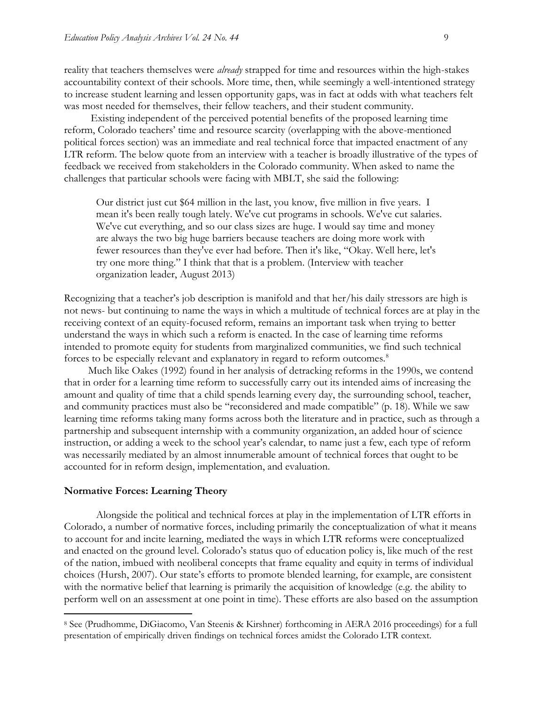reality that teachers themselves were *already* strapped for time and resources within the high-stakes accountability context of their schools. More time, then, while seemingly a well-intentioned strategy to increase student learning and lessen opportunity gaps, was in fact at odds with what teachers felt was most needed for themselves, their fellow teachers, and their student community.

 Existing independent of the perceived potential benefits of the proposed learning time reform, Colorado teachers' time and resource scarcity (overlapping with the above-mentioned political forces section) was an immediate and real technical force that impacted enactment of any LTR reform. The below quote from an interview with a teacher is broadly illustrative of the types of feedback we received from stakeholders in the Colorado community. When asked to name the challenges that particular schools were facing with MBLT, she said the following:

Our district just cut \$64 million in the last, you know, five million in five years. I mean it's been really tough lately. We've cut programs in schools. We've cut salaries. We've cut everything, and so our class sizes are huge. I would say time and money are always the two big huge barriers because teachers are doing more work with fewer resources than they've ever had before. Then it's like, "Okay. Well here, let's try one more thing." I think that that is a problem. (Interview with teacher organization leader, August 2013)

Recognizing that a teacher's job description is manifold and that her/his daily stressors are high is not news- but continuing to name the ways in which a multitude of technical forces are at play in the receiving context of an equity-focused reform, remains an important task when trying to better understand the ways in which such a reform is enacted. In the case of learning time reforms intended to promote equity for students from marginalized communities, we find such technical forces to be especially relevant and explanatory in regard to reform outcomes.<sup>8</sup>

 Much like Oakes (1992) found in her analysis of detracking reforms in the 1990s, we contend that in order for a learning time reform to successfully carry out its intended aims of increasing the amount and quality of time that a child spends learning every day, the surrounding school, teacher, and community practices must also be "reconsidered and made compatible" (p. 18). While we saw learning time reforms taking many forms across both the literature and in practice, such as through a partnership and subsequent internship with a community organization, an added hour of science instruction, or adding a week to the school year's calendar, to name just a few, each type of reform was necessarily mediated by an almost innumerable amount of technical forces that ought to be accounted for in reform design, implementation, and evaluation.

#### **Normative Forces: Learning Theory**

 $\overline{a}$ 

Alongside the political and technical forces at play in the implementation of LTR efforts in Colorado, a number of normative forces, including primarily the conceptualization of what it means to account for and incite learning, mediated the ways in which LTR reforms were conceptualized and enacted on the ground level. Colorado's status quo of education policy is, like much of the rest of the nation, imbued with neoliberal concepts that frame equality and equity in terms of individual choices (Hursh, 2007). Our state's efforts to promote blended learning, for example, are consistent with the normative belief that learning is primarily the acquisition of knowledge (e.g. the ability to perform well on an assessment at one point in time). These efforts are also based on the assumption

<sup>8</sup> See (Prudhomme, DiGiacomo, Van Steenis & Kirshner) forthcoming in AERA 2016 proceedings) for a full presentation of empirically driven findings on technical forces amidst the Colorado LTR context.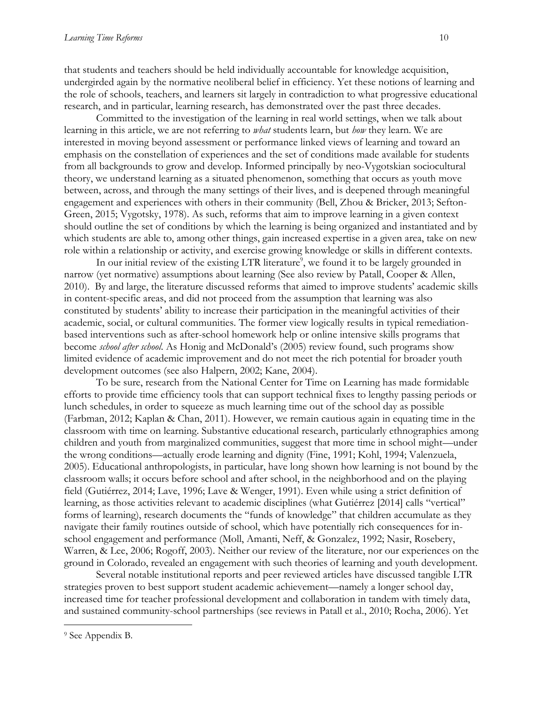that students and teachers should be held individually accountable for knowledge acquisition, undergirded again by the normative neoliberal belief in efficiency. Yet these notions of learning and the role of schools, teachers, and learners sit largely in contradiction to what progressive educational research, and in particular, learning research, has demonstrated over the past three decades.

Committed to the investigation of the learning in real world settings, when we talk about learning in this article, we are not referring to *what* students learn, but *how* they learn. We are interested in moving beyond assessment or performance linked views of learning and toward an emphasis on the constellation of experiences and the set of conditions made available for students from all backgrounds to grow and develop. Informed principally by neo-Vygotskian sociocultural theory, we understand learning as a situated phenomenon, something that occurs as youth move between, across, and through the many settings of their lives, and is deepened through meaningful engagement and experiences with others in their community (Bell, Zhou & Bricker, 2013; Sefton-Green, 2015; Vygotsky, 1978). As such, reforms that aim to improve learning in a given context should outline the set of conditions by which the learning is being organized and instantiated and by which students are able to, among other things, gain increased expertise in a given area, take on new role within a relationship or activity, and exercise growing knowledge or skills in different contexts.

In our initial review of the existing LTR literature<sup>9</sup>, we found it to be largely grounded in narrow (yet normative) assumptions about learning (See also review by Patall, Cooper & Allen, 2010). By and large, the literature discussed reforms that aimed to improve students' academic skills in content-specific areas, and did not proceed from the assumption that learning was also constituted by students' ability to increase their participation in the meaningful activities of their academic, social, or cultural communities. The former view logically results in typical remediationbased interventions such as after-school homework help or online intensive skills programs that become *school after school*. As Honig and McDonald's (2005) review found, such programs show limited evidence of academic improvement and do not meet the rich potential for broader youth development outcomes (see also Halpern, 2002; Kane, 2004).

To be sure, research from the National Center for Time on Learning has made formidable efforts to provide time efficiency tools that can support technical fixes to lengthy passing periods or lunch schedules, in order to squeeze as much learning time out of the school day as possible (Farbman, 2012; Kaplan & Chan, 2011). However, we remain cautious again in equating time in the classroom with time on learning. Substantive educational research, particularly ethnographies among children and youth from marginalized communities, suggest that more time in school might—under the wrong conditions—actually erode learning and dignity (Fine, 1991; Kohl, 1994; Valenzuela, 2005). Educational anthropologists, in particular, have long shown how learning is not bound by the classroom walls; it occurs before school and after school, in the neighborhood and on the playing field (Gutiérrez, 2014; Lave, 1996; Lave & Wenger, 1991). Even while using a strict definition of learning, as those activities relevant to academic disciplines (what Gutiérrez [2014] calls "vertical" forms of learning), research documents the "funds of knowledge" that children accumulate as they navigate their family routines outside of school, which have potentially rich consequences for inschool engagement and performance (Moll, Amanti, Neff, & Gonzalez, 1992; Nasir, Rosebery, Warren, & Lee, 2006; Rogoff, 2003). Neither our review of the literature, nor our experiences on the ground in Colorado, revealed an engagement with such theories of learning and youth development.

Several notable institutional reports and peer reviewed articles have discussed tangible LTR strategies proven to best support student academic achievement—namely a longer school day, increased time for teacher professional development and collaboration in tandem with timely data, and sustained community-school partnerships (see reviews in Patall et al., 2010; Rocha, 2006). Yet

 $\overline{a}$ 

<sup>9</sup> See Appendix B.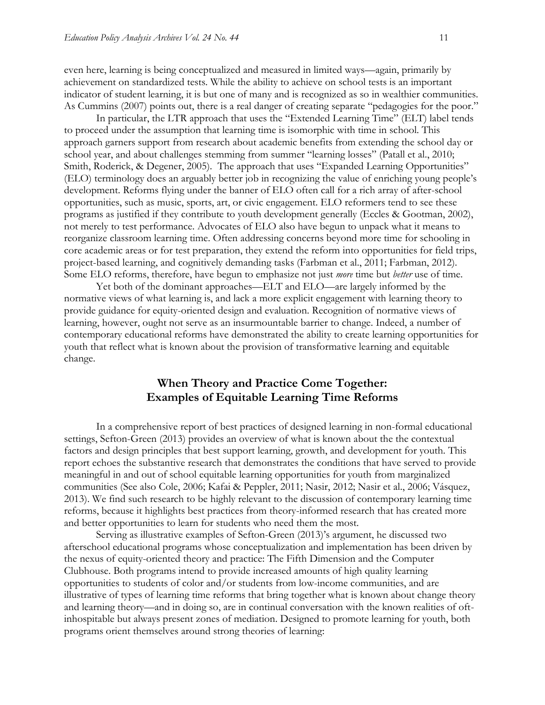even here, learning is being conceptualized and measured in limited ways—again, primarily by achievement on standardized tests. While the ability to achieve on school tests is an important indicator of student learning, it is but one of many and is recognized as so in wealthier communities. As Cummins (2007) points out, there is a real danger of creating separate "pedagogies for the poor."

In particular, the LTR approach that uses the "Extended Learning Time" (ELT) label tends to proceed under the assumption that learning time is isomorphic with time in school. This approach garners support from research about academic benefits from extending the school day or school year, and about challenges stemming from summer "learning losses" (Patall et al., 2010; Smith, Roderick, & Degener, 2005). The approach that uses "Expanded Learning Opportunities" (ELO) terminology does an arguably better job in recognizing the value of enriching young people's development. Reforms flying under the banner of ELO often call for a rich array of after-school opportunities, such as music, sports, art, or civic engagement. ELO reformers tend to see these programs as justified if they contribute to youth development generally (Eccles & Gootman, 2002), not merely to test performance. Advocates of ELO also have begun to unpack what it means to reorganize classroom learning time. Often addressing concerns beyond more time for schooling in core academic areas or for test preparation, they extend the reform into opportunities for field trips, project-based learning, and cognitively demanding tasks (Farbman et al., 2011; Farbman, 2012). Some ELO reforms, therefore, have begun to emphasize not just *more* time but *better* use of time.

Yet both of the dominant approaches—ELT and ELO—are largely informed by the normative views of what learning is, and lack a more explicit engagement with learning theory to provide guidance for equity-oriented design and evaluation. Recognition of normative views of learning, however, ought not serve as an insurmountable barrier to change. Indeed, a number of contemporary educational reforms have demonstrated the ability to create learning opportunities for youth that reflect what is known about the provision of transformative learning and equitable change.

## **When Theory and Practice Come Together: Examples of Equitable Learning Time Reforms**

In a comprehensive report of best practices of designed learning in non-formal educational settings, Sefton-Green (2013) provides an overview of what is known about the the contextual factors and design principles that best support learning, growth, and development for youth. This report echoes the substantive research that demonstrates the conditions that have served to provide meaningful in and out of school equitable learning opportunities for youth from marginalized communities (See also Cole, 2006; Kafai & Peppler, 2011; Nasir, 2012; Nasir et al., 2006; Vásquez, 2013). We find such research to be highly relevant to the discussion of contemporary learning time reforms, because it highlights best practices from theory-informed research that has created more and better opportunities to learn for students who need them the most.

Serving as illustrative examples of Sefton-Green (2013)'s argument, he discussed two afterschool educational programs whose conceptualization and implementation has been driven by the nexus of equity-oriented theory and practice: The Fifth Dimension and the Computer Clubhouse. Both programs intend to provide increased amounts of high quality learning opportunities to students of color and/or students from low-income communities, and are illustrative of types of learning time reforms that bring together what is known about change theory and learning theory—and in doing so, are in continual conversation with the known realities of oftinhospitable but always present zones of mediation. Designed to promote learning for youth, both programs orient themselves around strong theories of learning: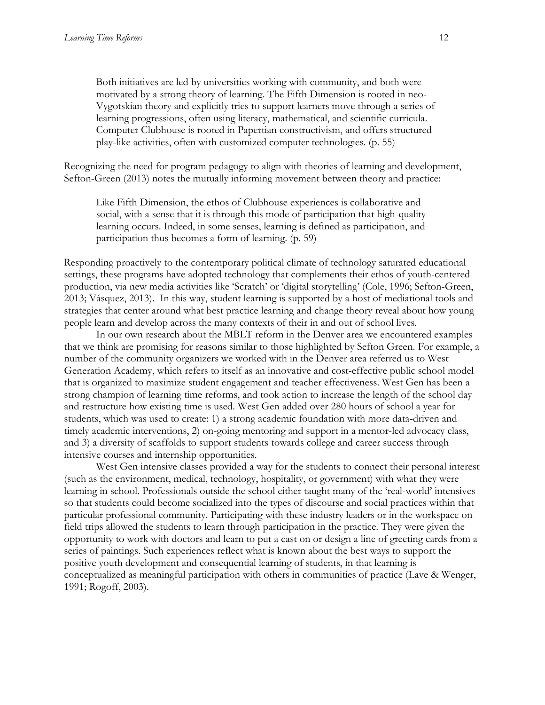Both initiatives are led by universities working with community, and both were motivated by a strong theory of learning. The Fifth Dimension is rooted in neo-Vygotskian theory and explicitly tries to support learners move through a series of learning progressions, often using literacy, mathematical, and scientific curricula. Computer Clubhouse is rooted in Papertian constructivism, and offers structured play-like activities, often with customized computer technologies. (p. 55)

Recognizing the need for program pedagogy to align with theories of learning and development, Sefton-Green (2013) notes the mutually informing movement between theory and practice:

Like Fifth Dimension, the ethos of Clubhouse experiences is collaborative and social, with a sense that it is through this mode of participation that high-quality learning occurs. Indeed, in some senses, learning is defined as participation, and participation thus becomes a form of learning. (p. 59)

Responding proactively to the contemporary political climate of technology saturated educational settings, these programs have adopted technology that complements their ethos of youth-centered production, via new media activities like 'Scratch' or 'digital storytelling' (Cole, 1996; Sefton-Green, 2013; Vásquez, 2013). In this way, student learning is supported by a host of mediational tools and strategies that center around what best practice learning and change theory reveal about how young people learn and develop across the many contexts of their in and out of school lives.

In our own research about the MBLT reform in the Denver area we encountered examples that we think are promising for reasons similar to those highlighted by Sefton Green. For example, a number of the community organizers we worked with in the Denver area referred us to West Generation Academy, which refers to itself as an innovative and cost-effective public school model that is organized to maximize student engagement and teacher effectiveness. West Gen has been a strong champion of learning time reforms, and took action to increase the length of the school day and restructure how existing time is used. West Gen added over 280 hours of school a year for students, which was used to create: 1) a strong academic foundation with more data-driven and timely academic interventions, 2) on-going mentoring and support in a mentor-led advocacy class, and 3) a diversity of scaffolds to support students towards college and career success through intensive courses and internship opportunities.

 West Gen intensive classes provided a way for the students to connect their personal interest (such as the environment, medical, technology, hospitality, or government) with what they were learning in school. Professionals outside the school either taught many of the 'real-world' intensives so that students could become socialized into the types of discourse and social practices within that particular professional community. Participating with these industry leaders or in the workspace on field trips allowed the students to learn through participation in the practice. They were given the opportunity to work with doctors and learn to put a cast on or design a line of greeting cards from a series of paintings. Such experiences reflect what is known about the best ways to support the positive youth development and consequential learning of students, in that learning is conceptualized as meaningful participation with others in communities of practice (Lave & Wenger, 1991; Rogoff, 2003).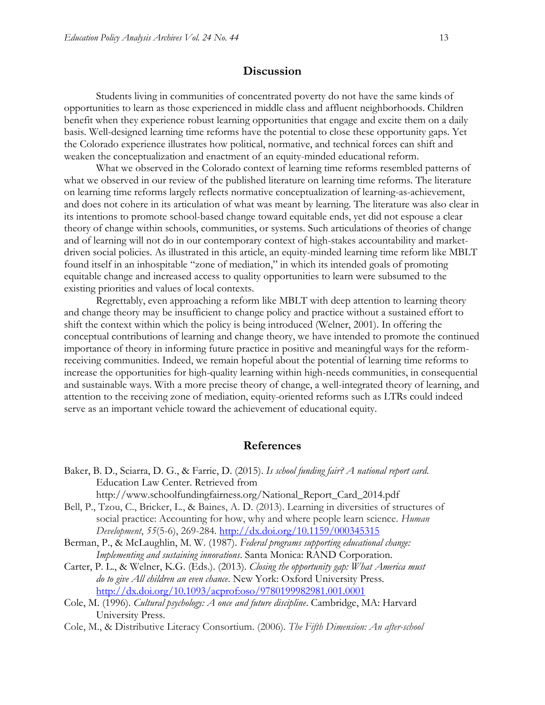### **Discussion**

Students living in communities of concentrated poverty do not have the same kinds of opportunities to learn as those experienced in middle class and affluent neighborhoods. Children benefit when they experience robust learning opportunities that engage and excite them on a daily basis. Well-designed learning time reforms have the potential to close these opportunity gaps. Yet the Colorado experience illustrates how political, normative, and technical forces can shift and weaken the conceptualization and enactment of an equity-minded educational reform.

What we observed in the Colorado context of learning time reforms resembled patterns of what we observed in our review of the published literature on learning time reforms. The literature on learning time reforms largely reflects normative conceptualization of learning-as-achievement, and does not cohere in its articulation of what was meant by learning. The literature was also clear in its intentions to promote school-based change toward equitable ends, yet did not espouse a clear theory of change within schools, communities, or systems. Such articulations of theories of change and of learning will not do in our contemporary context of high-stakes accountability and marketdriven social policies. As illustrated in this article, an equity-minded learning time reform like MBLT found itself in an inhospitable "zone of mediation," in which its intended goals of promoting equitable change and increased access to quality opportunities to learn were subsumed to the existing priorities and values of local contexts.

Regrettably, even approaching a reform like MBLT with deep attention to learning theory and change theory may be insufficient to change policy and practice without a sustained effort to shift the context within which the policy is being introduced (Welner, 2001). In offering the conceptual contributions of learning and change theory, we have intended to promote the continued importance of theory in informing future practice in positive and meaningful ways for the reformreceiving communities. Indeed, we remain hopeful about the potential of learning time reforms to increase the opportunities for high-quality learning within high-needs communities, in consequential and sustainable ways. With a more precise theory of change, a well-integrated theory of learning, and attention to the receiving zone of mediation, equity-oriented reforms such as LTRs could indeed serve as an important vehicle toward the achievement of educational equity.

### **References**

- Baker, B. D., Sciarra, D. G., & Farrie, D. (2015). *Is school funding fair? A national report card*. Education Law Center. Retrieved from [http://www.schoolfundingfairness.org/National\\_Report\\_Card\\_2014.pdf](http://www.schoolfundingfairness.org/National_Report_Card_2014.pdf)
- Bell, P., Tzou, C., Bricker, L., & Baines, A. D. (2013). Learning in diversities of structures of social practice: Accounting for how, why and where people learn science. *Human Development*, *55*(5-6), 269-284. <http://dx.doi.org/10.1159/000345315>
- Berman, P., & McLaughlin, M. W. (1987). *Federal programs supporting educational change: Implementing and sustaining innovations*. Santa Monica: RAND Corporation.
- Carter, P. L., & Welner, K.G. (Eds.). (2013). *Closing the opportunity gap: What America must do to give All children an even chance*. New York: Oxford University Press. <http://dx.doi.org/10.1093/acprof:oso/9780199982981.001.0001>
- Cole, M. (1996). *Cultural psychology: A once and future discipline*. Cambridge, MA: Harvard University Press.
- Cole, M., & Distributive Literacy Consortium. (2006). *The Fifth Dimension: An after-school*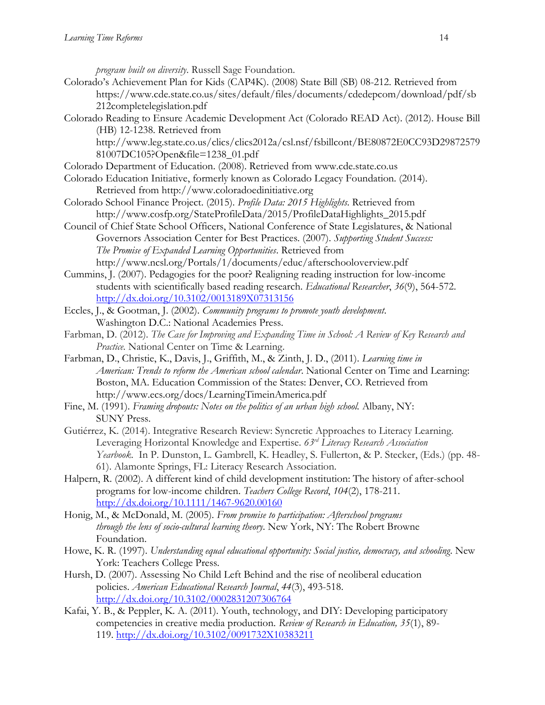*program built on diversity*. Russell Sage Foundation.

- Colorado's Achievement Plan for Kids (CAP4K). (2008) State Bill (SB) 08-212. Retrieved from https://www.cde.state.co.us/sites/default/files/documents/cdedepcom/download/pdf/sb 212completelegislation.pdf
- Colorado Reading to Ensure Academic Development Act (Colorado READ Act). (2012). House Bill (HB) 12-1238. Retrieved from

http://www.leg.state.co.us/clics/clics2012a/csl.nsf/fsbillcont/BE80872E0CC93D29872579 81007DC105?Open&file=1238\_01.pdf

- Colorado Department of Education. (2008). Retrieved from [www.cde.state.co.us](http://www.cde.state.co.us/)
- Colorado Education Initiative, formerly known as Colorado Legacy Foundation. (2014). Retrieved from http://www.coloradoedinitiative.org
- Colorado School Finance Project. (2015). *Profile Data: 2015 Highlights*. Retrieved from [http://www.cosfp.org/StateProfileData/2015/ProfileDataHighlights\\_2015.pdf](http://www.cosfp.org/StateProfileData/2015/ProfileDataHighlights_2015.pdf)
- Council of Chief State School Officers, National Conference of State Legislatures, & National Governors Association Center for Best Practices. (2007). *Supporting Student Success: The Promise of Expanded Learning Opportunities*. Retrieved from <http://www.ncsl.org/Portals/1/documents/educ/afterschooloverview.pdf>
- Cummins, J. (2007). Pedagogies for the poor? Realigning reading instruction for low-income students with scientifically based reading research. *Educational Researcher*, *36*(9), 564-572. <http://dx.doi.org/10.3102/0013189X07313156>
- Eccles, J., & Gootman, J. (2002). *Community programs to promote youth development*. Washington D.C.: National Academies Press.
- Farbman, D. (2012). *The Case for Improving and Expanding Time in School: A Review of Key Research and Practice.* National Center on Time & Learning.
- Farbman, D., Christie, K., Davis, J., Griffith, M., & Zinth, J. D., (2011). *Learning time in American: Trends to reform the American school calendar*. National Center on Time and Learning: Boston, MA. Education Commission of the States: Denver, CO. Retrieved from <http://www.ecs.org/docs/LearningTimeinAmerica.pdf>
- Fine, M. (1991). *Framing dropouts: Notes on the politics of an urban high school.* Albany, NY: SUNY Press.
- Gutiérrez, K. (2014). Integrative Research Review: Syncretic Approaches to Literacy Learning. Leveraging Horizontal Knowledge and Expertise. *63rd Literacy Research Association Yearbook*. In P. Dunston, L. Gambrell, K. Headley, S. Fullerton, & P. Stecker, (Eds.) (pp. 48- 61). Alamonte Springs, FL: Literacy Research Association.
- Halpern, R. (2002). A different kind of child development institution: The history of after-school programs for low-income children. *Teachers College Record*, *104*(2), 178-211. <http://dx.doi.org/10.1111/1467-9620.00160>
- Honig, M., & McDonald, M. (2005). *From promise to participation: Afterschool programs through the lens of socio-cultural learning theory*. New York, NY: The Robert Browne Foundation.
- Howe, K. R. (1997). *Understanding equal educational opportunity: Social justice, democracy, and schooling*. New York: Teachers College Press.
- Hursh, D. (2007). Assessing No Child Left Behind and the rise of neoliberal education policies. *American Educational Research Journal*, *44*(3), 493-518. <http://dx.doi.org/10.3102/0002831207306764>
- Kafai, Y. B., & Peppler, K. A. (2011). Youth, technology, and DIY: Developing participatory competencies in creative media production. *Review of Research in Education, 35*(1), 89- 119. <http://dx.doi.org/10.3102/0091732X10383211>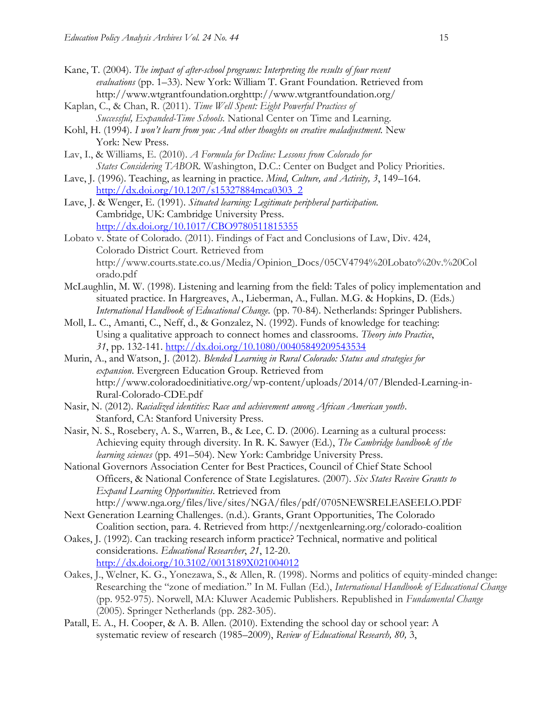- Kane, T. (2004). *The impact of after-school programs: Interpreting the results of four recent evaluations* (pp. 1–33). New York: William T. Grant Foundation. Retrieved from [http://www.wtgrantfoundation.orghttp://www.wtgrantfoundation.org/](http://www.wtgrantfoundation.org/)
- Kaplan, C., & Chan, R. (2011). *Time Well Spent: Eight Powerful Practices of Successful, Expanded-Time Schools.* National Center on Time and Learning.
- Kohl, H. (1994). *I won't learn from you: And other thoughts on creative maladjustment.* New York: New Press.
- Lav, I., & Williams, E. (2010). *A Formula for Decline: Lessons from Colorado for States Considering TABOR.* Washington, D.C.: Center on Budget and Policy Priorities.
- Lave, J. (1996). Teaching, as learning in practice. *Mind, Culture, and Activity, 3*, 149–164. [http://dx.doi.org/10.1207/s15327884mca0303\\_2](http://dx.doi.org/10.1207/s15327884mca0303_2)
- Lave, J. & Wenger, E. (1991). *Situated learning: Legitimate peripheral participation.* Cambridge, UK: Cambridge University Press. <http://dx.doi.org/10.1017/CBO9780511815355>
- Lobato v. State of Colorado. (2011). Findings of Fact and Conclusions of Law, Div. 424, Colorado District Court. Retrieved from http://www.courts.state.co.us/Media/Opinion\_Docs/05CV4794%20Lobato%20v.%20Col orado.pdf
- McLaughlin, M. W. (1998). Listening and learning from the field: Tales of policy implementation and situated practice. In Hargreaves, A., Lieberman, A., Fullan. M.G. & Hopkins, D. (Eds.) *International Handbook of Educational Change.* (pp. 70-84). Netherlands: Springer Publishers.
- Moll, L. C., Amanti, C., Neff, d., & Gonzalez, N. (1992). Funds of knowledge for teaching: Using a qualitative approach to connect homes and classrooms. *Theory into Practice*, *31*, pp. 132-141. <http://dx.doi.org/10.1080/00405849209543534>
- Murin, A., and Watson, J. (2012). *Blended Learning in Rural Colorado: Status and strategies for expansion*. Evergreen Education Group. Retrieved from http://www.coloradoedinitiative.org/wp-content/uploads/2014/07/Blended-Learning-in-Rural-Colorado-CDE.pdf
- Nasir, N. (2012). *Racialized identities: Race and achievement among African American youth*. Stanford, CA: Stanford University Press.
- Nasir, N. S., Rosebery, A. S., Warren, B., & Lee, C. D. (2006). Learning as a cultural process: Achieving equity through diversity. In R. K. Sawyer (Ed.), *The Cambridge handbook of the learning sciences* (pp. 491–504). New York: Cambridge University Press.
- National Governors Association Center for Best Practices, Council of Chief State School Officers, & National Conference of State Legislatures. (2007). *Six States Receive Grants to Expand Learning Opportunities*. Retrieved from <http://www.nga.org/files/live/sites/NGA/files/pdf/0705NEWSRELEASEELO.PDF>
- Next Generation Learning Challenges. (n.d.). Grants, Grant Opportunities, The Colorado Coalition section, para. 4. Retrieved from [http://nextgenlearning.org/colorado-c](http://nextgenlearning.org/colorado-)oalition
- Oakes, J. (1992). Can tracking research inform practice? Technical, normative and political considerations. *Educational Researcher*, *21*, 12-20. <http://dx.doi.org/10.3102/0013189X021004012>
- Oakes, J., Welner, K. G., Yonezawa, S., & Allen, R. (1998). Norms and politics of equity-minded change: Researching the "zone of mediation." In M. Fullan (Ed.), *International Handbook of Educational Change* (pp. 952-975). Norwell, MA: Kluwer Academic Publishers. Republished in *Fundamental Change* (2005). Springer Netherlands (pp. 282-305).
- Patall, E. A., H. Cooper, & A. B. Allen. (2010). Extending the school day or school year: A systematic review of research (1985–2009), *Review of Educational Research, 80,* 3,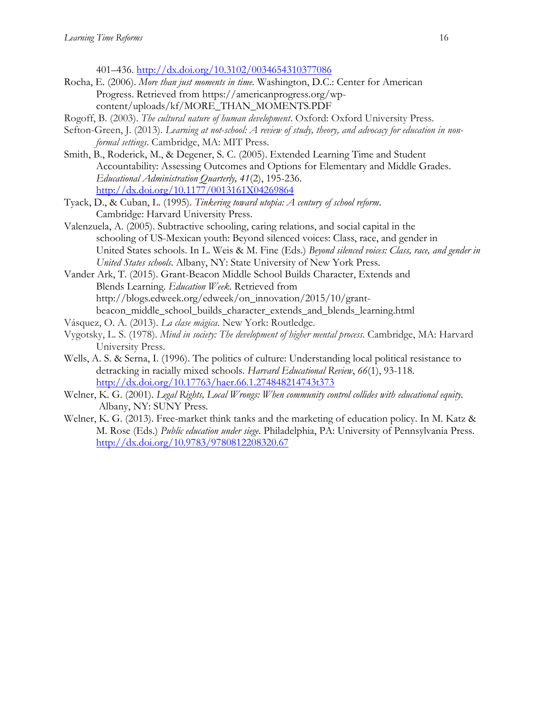401–436. <http://dx.doi.org/10.3102/0034654310377086>

- Rocha, E. (2006). *More than just moments in time.* Washington, D.C.: Center for American Progress. Retrieved from [https://americanprogress.org/wp](https://americanprogress.org/wp-content/uploads/kf/MORE_THAN_MOMENTS.PDF)[content/uploads/kf/MORE\\_THAN\\_MOMENTS.PDF](https://americanprogress.org/wp-content/uploads/kf/MORE_THAN_MOMENTS.PDF)
- Rogoff, B. (2003). *The cultural nature of human development*. Oxford: Oxford University Press.
- Sefton-Green, J. (2013). *Learning at not-school: A review of study, theory, and advocacy for education in nonformal settings*. Cambridge, MA: MIT Press.
- Smith, B., Roderick, M., & Degener, S. C. (2005). Extended Learning Time and Student Accountability: Assessing Outcomes and Options for Elementary and Middle Grades. *Educational Administration Quarterly, 41*(2), 195-236. <http://dx.doi.org/10.1177/0013161X04269864>
- Tyack, D., & Cuban, L. (1995). *Tinkering toward utopia: A century of school reform*. Cambridge: Harvard University Press.
- Valenzuela, A. (2005). Subtractive schooling, caring relations, and social capital in the schooling of US-Mexican youth: Beyond silenced voices: Class, race, and gender in United States schools. In L. Weis & M. Fine (Eds.) *Beyond silenced voices: Class, race, and gender in United States schools*. Albany, NY: State University of New York Press.
- Vander Ark, T. (2015). Grant-Beacon Middle School Builds Character, Extends and Blends Learning. *Education Week*. Retrieved from http://blogs.edweek.org/edweek/on\_innovation/2015/10/grantbeacon\_middle\_school\_builds\_character\_extends\_and\_blends\_learning.html
- Vásquez, O. A. (2013). *La clase mágica*. New York: Routledge.
- Vygotsky, L. S. (1978). *Mind in society: The development of higher mental process*. Cambridge, MA: Harvard University Press.
- Wells, A. S. & Serna, I. (1996). The politics of culture: Understanding local political resistance to detracking in racially mixed schools. *Harvard Educational Review*, *66*(1), 93-118. <http://dx.doi.org/10.17763/haer.66.1.274848214743t373>
- Welner, K. G. (2001). *Legal Rights, Local Wrongs: When community control collides with educational equity.* Albany, NY: SUNY Press.
- Welner, K. G. (2013). Free-market think tanks and the marketing of education policy. In M. Katz & M. Rose (Eds.) *Public education under siege*. Philadelphia, PA: University of Pennsylvania Press. <http://dx.doi.org/10.9783/9780812208320.67>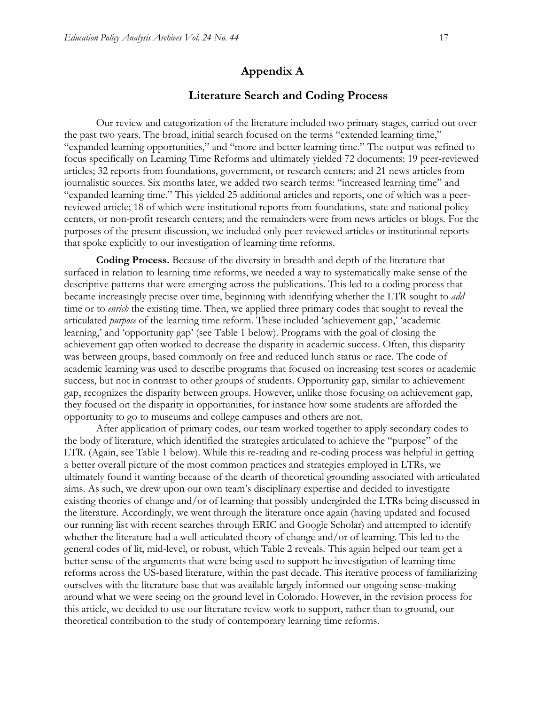## **Appendix A**

### **Literature Search and Coding Process**

Our review and categorization of the literature included two primary stages, carried out over the past two years. The broad, initial search focused on the terms "extended learning time," "expanded learning opportunities," and "more and better learning time." The output was refined to focus specifically on Learning Time Reforms and ultimately yielded 72 documents: 19 peer-reviewed articles; 32 reports from foundations, government, or research centers; and 21 news articles from journalistic sources. Six months later, we added two search terms: "increased learning time" and "expanded learning time." This yielded 25 additional articles and reports, one of which was a peerreviewed article; 18 of which were institutional reports from foundations, state and national policy centers, or non-profit research centers; and the remainders were from news articles or blogs. For the purposes of the present discussion, we included only peer-reviewed articles or institutional reports that spoke explicitly to our investigation of learning time reforms.

**Coding Process.** Because of the diversity in breadth and depth of the literature that surfaced in relation to learning time reforms, we needed a way to systematically make sense of the descriptive patterns that were emerging across the publications. This led to a coding process that became increasingly precise over time, beginning with identifying whether the LTR sought to *add*  time or to *enrich* the existing time. Then, we applied three primary codes that sought to reveal the articulated *purpose* of the learning time reform. These included 'achievement gap,' 'academic learning,' and 'opportunity gap' (see Table 1 below). Programs with the goal of closing the achievement gap often worked to decrease the disparity in academic success. Often, this disparity was between groups, based commonly on free and reduced lunch status or race. The code of academic learning was used to describe programs that focused on increasing test scores or academic success, but not in contrast to other groups of students. Opportunity gap, similar to achievement gap, recognizes the disparity between groups. However, unlike those focusing on achievement gap, they focused on the disparity in opportunities, for instance how some students are afforded the opportunity to go to museums and college campuses and others are not.

After application of primary codes, our team worked together to apply secondary codes to the body of literature, which identified the strategies articulated to achieve the "purpose" of the LTR. (Again, see Table 1 below). While this re-reading and re-coding process was helpful in getting a better overall picture of the most common practices and strategies employed in LTRs, we ultimately found it wanting because of the dearth of theoretical grounding associated with articulated aims. As such, we drew upon our own team's disciplinary expertise and decided to investigate existing theories of change and/or of learning that possibly undergirded the LTRs being discussed in the literature. Accordingly, we went through the literature once again (having updated and focused our running list with recent searches through ERIC and Google Scholar) and attempted to identify whether the literature had a well-articulated theory of change and/or of learning. This led to the general codes of lit, mid-level, or robust, which Table 2 reveals. This again helped our team get a better sense of the arguments that were being used to support he investigation of learning time reforms across the US-based literature, within the past decade. This iterative process of familiarizing ourselves with the literature base that was available largely informed our ongoing sense-making around what we were seeing on the ground level in Colorado. However, in the revision process for this article, we decided to use our literature review work to support, rather than to ground, our theoretical contribution to the study of contemporary learning time reforms.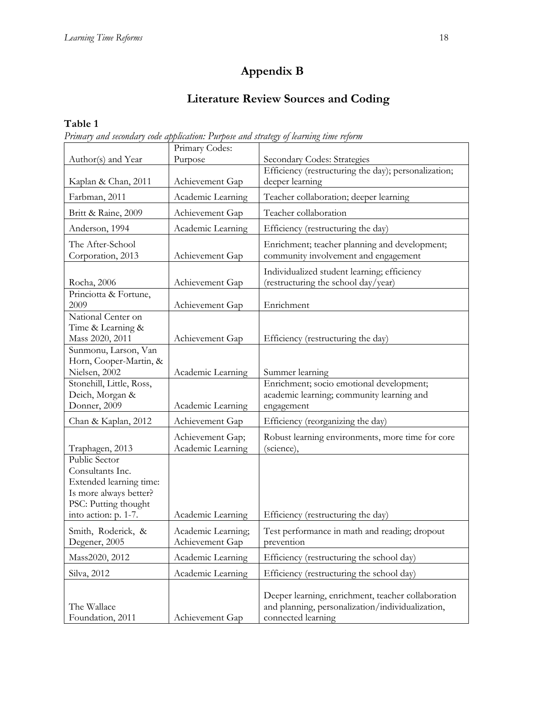## **Appendix B**

## **Literature Review Sources and Coding**

## **Table 1**

*Primary and secondary code application: Purpose and strategy of learning time reform*

| Author(s) and Year                                                                                                                     | Primary Codes:<br>Purpose             | Secondary Codes: Strategies                                                                                                  |  |
|----------------------------------------------------------------------------------------------------------------------------------------|---------------------------------------|------------------------------------------------------------------------------------------------------------------------------|--|
|                                                                                                                                        |                                       | Efficiency (restructuring the day); personalization;                                                                         |  |
| Kaplan & Chan, 2011                                                                                                                    | Achievement Gap                       | deeper learning                                                                                                              |  |
| Farbman, 2011                                                                                                                          | Academic Learning                     | Teacher collaboration; deeper learning                                                                                       |  |
| Britt & Raine, 2009                                                                                                                    | Achievement Gap                       | Teacher collaboration                                                                                                        |  |
| Anderson, 1994                                                                                                                         | Academic Learning                     | Efficiency (restructuring the day)                                                                                           |  |
| The After-School<br>Corporation, 2013                                                                                                  | Achievement Gap                       | Enrichment; teacher planning and development;<br>community involvement and engagement                                        |  |
| Rocha, 2006                                                                                                                            | Achievement Gap                       | Individualized student learning; efficiency<br>(restructuring the school day/year)                                           |  |
| Princiotta & Fortune,<br>2009                                                                                                          | Achievement Gap                       | Enrichment                                                                                                                   |  |
| National Center on<br>Time & Learning &<br>Mass 2020, 2011                                                                             | Achievement Gap                       | Efficiency (restructuring the day)                                                                                           |  |
| Sunmonu, Larson, Van<br>Horn, Cooper-Martin, &<br>Nielsen, 2002                                                                        | Academic Learning                     | Summer learning                                                                                                              |  |
| Stonehill, Little, Ross,<br>Deich, Morgan &<br>Donner, 2009                                                                            | Academic Learning                     | Enrichment; socio emotional development;<br>academic learning; community learning and<br>engagement                          |  |
| Chan & Kaplan, 2012                                                                                                                    | Achievement Gap                       | Efficiency (reorganizing the day)                                                                                            |  |
| Traphagen, 2013                                                                                                                        | Achievement Gap;<br>Academic Learning | Robust learning environments, more time for core<br>(science),                                                               |  |
| Public Sector<br>Consultants Inc.<br>Extended learning time:<br>Is more always better?<br>PSC: Putting thought<br>into action: p. 1-7. | Academic Learning                     | Efficiency (restructuring the day)                                                                                           |  |
| Smith, Roderick, &<br>Degener, 2005                                                                                                    | Academic Learning;<br>Achievement Gap | Test performance in math and reading; dropout<br>prevention                                                                  |  |
| Mass2020, 2012                                                                                                                         | Academic Learning                     | Efficiency (restructuring the school day)                                                                                    |  |
| Silva, 2012                                                                                                                            | Academic Learning                     | Efficiency (restructuring the school day)                                                                                    |  |
| The Wallace<br>Foundation, 2011                                                                                                        | Achievement Gap                       | Deeper learning, enrichment, teacher collaboration<br>and planning, personalization/individualization,<br>connected learning |  |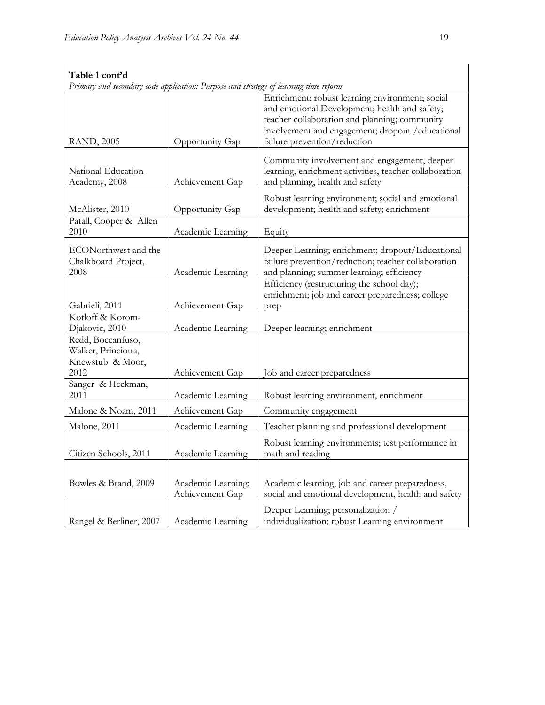| Primary and secondary code application: Purpose and strategy of learning time reform |                                       |                                                                                                                                                                                                                                        |
|--------------------------------------------------------------------------------------|---------------------------------------|----------------------------------------------------------------------------------------------------------------------------------------------------------------------------------------------------------------------------------------|
| <b>RAND</b> , 2005                                                                   | Opportunity Gap                       | Enrichment; robust learning environment; social<br>and emotional Development; health and safety;<br>teacher collaboration and planning; community<br>involvement and engagement; dropout / educational<br>failure prevention/reduction |
|                                                                                      |                                       |                                                                                                                                                                                                                                        |
| National Education<br>Academy, 2008                                                  | Achievement Gap                       | Community involvement and engagement, deeper<br>learning, enrichment activities, teacher collaboration<br>and planning, health and safety                                                                                              |
| McAlister, 2010                                                                      | Opportunity Gap                       | Robust learning environment; social and emotional<br>development; health and safety; enrichment                                                                                                                                        |
| Patall, Cooper & Allen<br>2010                                                       | Academic Learning                     | Equity                                                                                                                                                                                                                                 |
| ECONorthwest and the<br>Chalkboard Project,<br>2008                                  | Academic Learning                     | Deeper Learning; enrichment; dropout/Educational<br>failure prevention/reduction; teacher collaboration<br>and planning; summer learning; efficiency                                                                                   |
| Gabrieli, 2011                                                                       | Achievement Gap                       | Efficiency (restructuring the school day);<br>enrichment; job and career preparedness; college<br>prep                                                                                                                                 |
| Kotloff & Korom-<br>Djakovic, 2010                                                   | Academic Learning                     | Deeper learning; enrichment                                                                                                                                                                                                            |
| Redd, Boccanfuso,<br>Walker, Princiotta,<br>Knewstub & Moor,<br>2012                 | Achievement Gap                       | Job and career preparedness                                                                                                                                                                                                            |
| Sanger & Heckman,<br>2011                                                            | Academic Learning                     | Robust learning environment, enrichment                                                                                                                                                                                                |
| Malone & Noam, 2011                                                                  | Achievement Gap                       | Community engagement                                                                                                                                                                                                                   |
| Malone, 2011                                                                         | Academic Learning                     | Teacher planning and professional development                                                                                                                                                                                          |
| Citizen Schools, 2011                                                                | Academic Learning                     | Robust learning environments; test performance in<br>math and reading                                                                                                                                                                  |
| Bowles & Brand, 2009                                                                 | Academic Learning;<br>Achievement Gap | Academic learning, job and career preparedness,<br>social and emotional development, health and safety                                                                                                                                 |
| Rangel & Berliner, 2007                                                              | Academic Learning                     | Deeper Learning; personalization /<br>individualization; robust Learning environment                                                                                                                                                   |

# **Table 1 cont'd**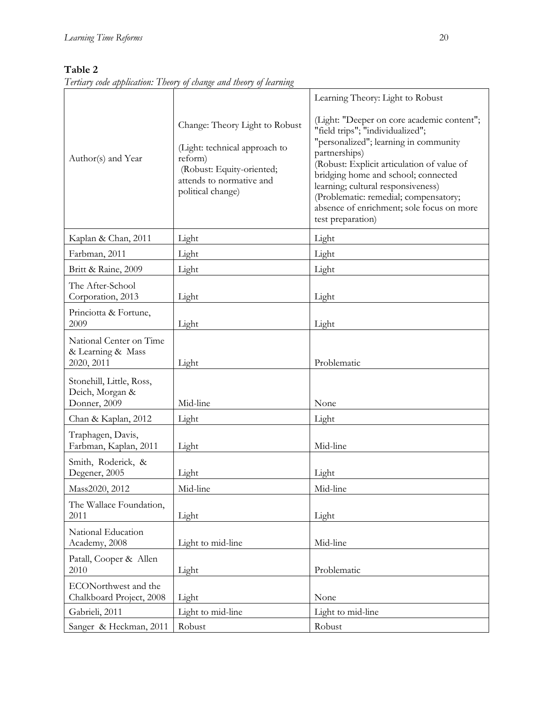## **Table 2**

*Tertiary code application: Theory of change and theory of learning*

|                                                             |                                                                                                                                                          | Learning Theory: Light to Robust                                                                                                                                                                                                                                                                                                                                               |
|-------------------------------------------------------------|----------------------------------------------------------------------------------------------------------------------------------------------------------|--------------------------------------------------------------------------------------------------------------------------------------------------------------------------------------------------------------------------------------------------------------------------------------------------------------------------------------------------------------------------------|
| Author(s) and Year                                          | Change: Theory Light to Robust<br>(Light: technical approach to<br>reform)<br>(Robust: Equity-oriented;<br>attends to normative and<br>political change) | (Light: "Deeper on core academic content";<br>"field trips"; "individualized";<br>"personalized"; learning in community<br>partnerships)<br>(Robust: Explicit articulation of value of<br>bridging home and school; connected<br>learning; cultural responsiveness)<br>(Problematic: remedial; compensatory;<br>absence of enrichment; sole focus on more<br>test preparation) |
| Kaplan & Chan, 2011                                         | Light                                                                                                                                                    | Light                                                                                                                                                                                                                                                                                                                                                                          |
| Farbman, 2011                                               | Light                                                                                                                                                    | Light                                                                                                                                                                                                                                                                                                                                                                          |
| Britt & Raine, 2009                                         | Light                                                                                                                                                    | Light                                                                                                                                                                                                                                                                                                                                                                          |
| The After-School<br>Corporation, 2013                       | Light                                                                                                                                                    | Light                                                                                                                                                                                                                                                                                                                                                                          |
| Princiotta & Fortune,<br>2009                               | Light                                                                                                                                                    | Light                                                                                                                                                                                                                                                                                                                                                                          |
| National Center on Time<br>& Learning & Mass<br>2020, 2011  | Light                                                                                                                                                    | Problematic                                                                                                                                                                                                                                                                                                                                                                    |
| Stonehill, Little, Ross,<br>Deich, Morgan &<br>Donner, 2009 | Mid-line                                                                                                                                                 | None                                                                                                                                                                                                                                                                                                                                                                           |
| Chan & Kaplan, 2012                                         | Light                                                                                                                                                    | Light                                                                                                                                                                                                                                                                                                                                                                          |
| Traphagen, Davis,<br>Farbman, Kaplan, 2011                  | Light                                                                                                                                                    | Mid-line                                                                                                                                                                                                                                                                                                                                                                       |
| Smith, Roderick, &<br>Degener, 2005                         | Light                                                                                                                                                    | Light                                                                                                                                                                                                                                                                                                                                                                          |
| Mass2020, 2012                                              | Mid-line                                                                                                                                                 | Mid-line                                                                                                                                                                                                                                                                                                                                                                       |
| The Wallace Foundation,<br>2011                             | Light                                                                                                                                                    | Light                                                                                                                                                                                                                                                                                                                                                                          |
| National Education<br>Academy, 2008                         | Light to mid-line                                                                                                                                        | Mid-line                                                                                                                                                                                                                                                                                                                                                                       |
| Patall, Cooper & Allen<br>2010                              | Light                                                                                                                                                    | Problematic                                                                                                                                                                                                                                                                                                                                                                    |
| ECONorthwest and the<br>Chalkboard Project, 2008            | Light                                                                                                                                                    | None                                                                                                                                                                                                                                                                                                                                                                           |
| Gabrieli, 2011                                              | Light to mid-line                                                                                                                                        | Light to mid-line                                                                                                                                                                                                                                                                                                                                                              |
| Sanger & Heckman, 2011                                      | Robust                                                                                                                                                   | Robust                                                                                                                                                                                                                                                                                                                                                                         |

 $\overline{\mathbf{1}}$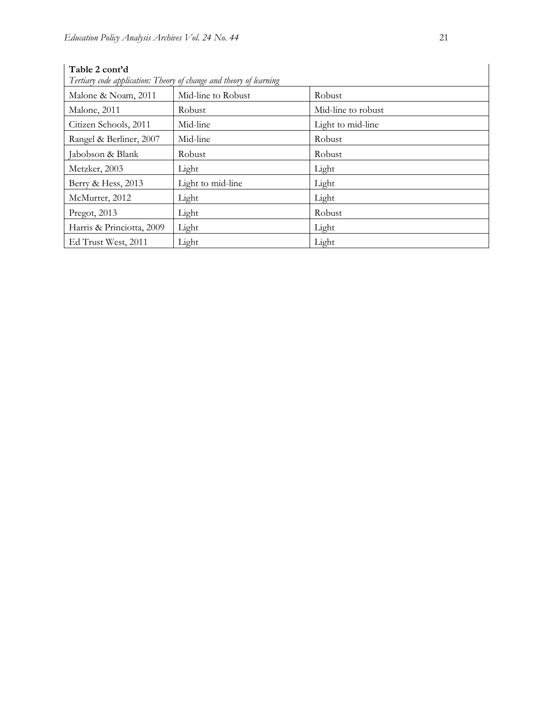| Table 2 cont'd<br>Tertiary code application: Theory of change and theory of learning |                    |                    |  |  |
|--------------------------------------------------------------------------------------|--------------------|--------------------|--|--|
| Malone & Noam, 2011                                                                  | Mid-line to Robust | Robust             |  |  |
| Malone, 2011                                                                         | Robust             | Mid-line to robust |  |  |
| Citizen Schools, 2011                                                                | Mid-line           | Light to mid-line  |  |  |
| Rangel & Berliner, 2007                                                              | Mid-line           | Robust             |  |  |
| Jabobson & Blank                                                                     | Robust             | Robust             |  |  |
| Metzker, 2003                                                                        | Light              | Light              |  |  |
| Berry & Hess, 2013                                                                   | Light to mid-line  | Light              |  |  |
| McMurrer, 2012                                                                       | Light              | Light              |  |  |
| Pregot, 2013                                                                         | Light              | Robust             |  |  |
| Harris & Princiotta, 2009                                                            | Light              | Light              |  |  |
| Ed Trust West, 2011                                                                  | Light              | Light              |  |  |

**Table 2 cont'd**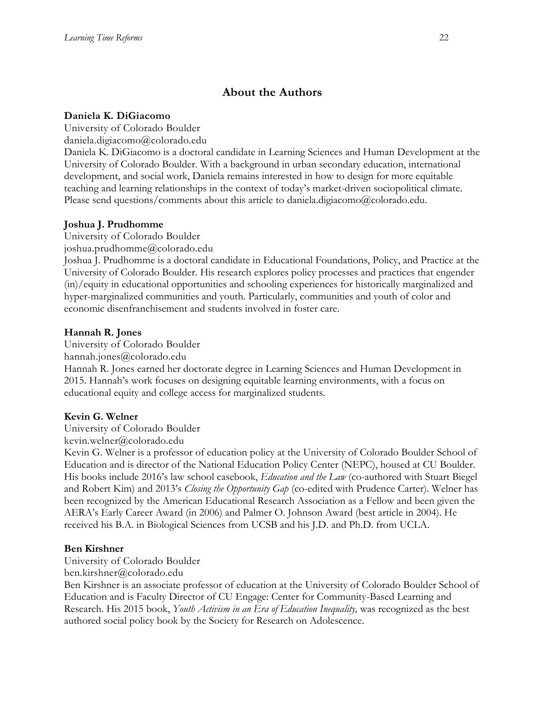## **About the Authors**

### **Daniela K. DiGiacomo**

University of Colorado Boulder

daniela.digiacomo@colorado.edu

Daniela K. DiGiacomo is a doctoral candidate in Learning Sciences and Human Development at the University of Colorado Boulder. With a background in urban secondary education, international development, and social work, Daniela remains interested in how to design for more equitable teaching and learning relationships in the context of today's market-driven sociopolitical climate. Please send questions/comments about this article to daniela.digiacomo@colorado.edu.

### **Joshua J. Prudhomme**

University of Colorado Boulder

joshua.prudhomme@colorado.edu

Joshua J. Prudhomme is a doctoral candidate in Educational Foundations, Policy, and Practice at the University of Colorado Boulder. His research explores policy processes and practices that engender (in)/equity in educational opportunities and schooling experiences for historically marginalized and hyper-marginalized communities and youth. Particularly, communities and youth of color and economic disenfranchisement and students involved in foster care.

### **Hannah R. Jones**

University of Colorado Boulder hannah.jones@colorado.edu Hannah R. Jones earned her doctorate degree in Learning Sciences and Human Development in 2015. Hannah's work focuses on designing equitable learning environments, with a focus on educational equity and college access for marginalized students.

## **Kevin G. Welner**

University of Colorado Boulder

kevin.welner@colorado.edu

Kevin G. Welner is a professor of education policy at the University of Colorado Boulder School of Education and is director of the National Education Policy Center (NEPC), housed at CU Boulder. His books include 2016's law school casebook, *Education and the Law* (co-authored with Stuart Biegel and Robert Kim) and 2013's *Closing the Opportunity Gap* (co-edited with Prudence Carter). Welner has been recognized by the American Educational Research Association as a Fellow and been given the AERA's Early Career Award (in 2006) and Palmer O. Johnson Award (best article in 2004). He received his B.A. in Biological Sciences from UCSB and his J.D. and Ph.D. from UCLA.

## **Ben Kirshner**

University of Colorado Boulder

ben.kirshner@colorado.edu

Ben Kirshner is an associate professor of education at the University of Colorado Boulder School of Education and is Faculty Director of CU Engage: Center for Community-Based Learning and Research. His 2015 book, *Youth Activism in an Era of Education Inequality,* was recognized as the best authored social policy book by the Society for Research on Adolescence.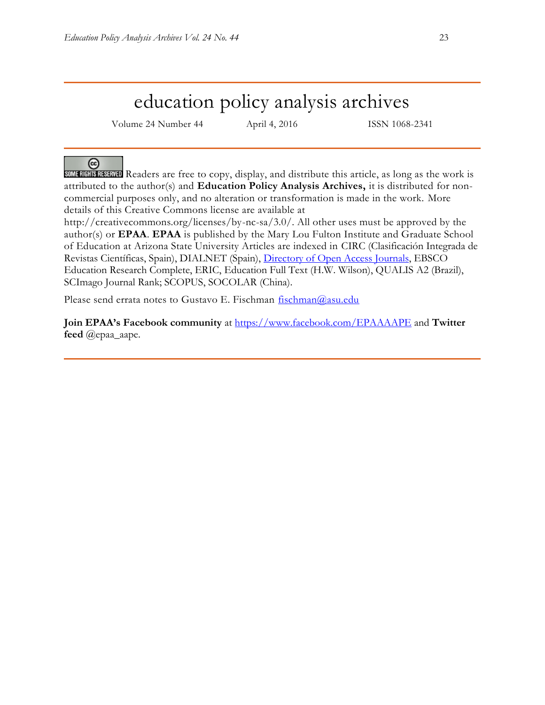# education policy analysis archives

Volume 24 Number 44 April 4, 2016 ISSN 1068-2341

@

SOME RIGHTS RESERVED Readers are free to copy, display, and distribute this article, as long as the work is attributed to the author(s) and **Education Policy Analysis Archives,** it is distributed for noncommercial purposes only, and no alteration or transformation is made in the work. More details of this Creative Commons license are available at

http://creativecommons.org/licenses/by-nc-sa/3.0/. All other uses must be approved by the author(s) or **EPAA**. **EPAA** is published by the Mary Lou Fulton Institute and Graduate School of Education at Arizona State University Articles are indexed in CIRC (Clasificación Integrada de Revistas Científicas, Spain), DIALNET (Spain), [Directory of Open Access Journals,](http://www.doaj.org/) EBSCO Education Research Complete, ERIC, Education Full Text (H.W. Wilson), QUALIS A2 (Brazil), SCImago Journal Rank; SCOPUS, SOCOLAR (China).

Please send errata notes to Gustavo E. Fischman [fischman@asu.edu](mailto:fischman@asu.edu)

**Join EPAA's Facebook community** at<https://www.facebook.com/EPAAAAPE> and **Twitter feed** @epaa\_aape.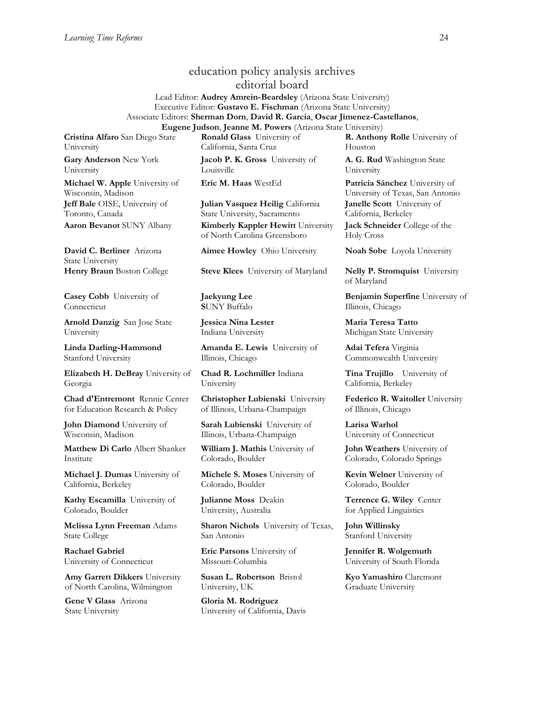## education policy analysis archives editorial board

Lead Editor: **Audrey Amrein-Beardsley** (Arizona State University) Executive Editor: **Gustavo E. Fischman** (Arizona State University) Associate Editors: **Sherman Dorn**, **David R. Garcia**, **Oscar Jimenez-Castellanos**, **Eugene Judson**, **Jeanne M. Powers** (Arizona State University)

**Cristina Alfaro** San Diego State University

**Gary Anderson** New York University

**Michael W. Apple** University of Wisconsin, Madison **Jeff Bale** OISE, University of Toronto, Canada

**David C. Berliner** Arizona State University

**Casey Cobb** University of Connecticut

**Arnold Danzig** San Jose State University

**Linda Darling-Hammond**  Stanford University

**Elizabeth H. DeBray** University of Georgia

**Chad d'Entremont** Rennie Center for Education Research & Policy

**John Diamond** University of Wisconsin, Madison

**Matthew Di Carlo** Albert Shanker Institute

**Michael J. Dumas** University of California, Berkeley

**Kathy Escamilla** University of Colorado, Boulder

**Melissa Lynn Freeman** Adams State College

**Rachael Gabriel** University of Connecticut

**Amy Garrett Dikkers** University of North Carolina, Wilmington

**Gene V Glass** Arizona State University

**Ronald Glass** University of California, Santa Cruz

**Jacob P. K. Gross** University of Louisville

**Julian Vasquez Heilig** California State University, Sacramento **Aaron Bevanot** SUNY Albany **Kimberly Kappler Hewitt** University of North Carolina Greensboro

**Aimee Howley** Ohio University **Noah Sobe** Loyola University

**Henry Braun** Boston College **Steve Klees** University of Maryland **Nelly P. Stromquist** University

**Jaekyung Lee S**UNY Buffalo

**Jessica Nina Lester** Indiana University

**Amanda E. Lewis** University of Illinois, Chicago

**Chad R. Lochmiller** Indiana University

**Christopher Lubienski** University of Illinois, Urbana-Champaign

**Sarah Lubienski** University of Illinois, Urbana-Champaign

**William J. Mathis** University of Colorado, Boulder

**Michele S. Moses** University of Colorado, Boulder

**Julianne Moss** Deakin University, Australia

**Sharon Nichols** University of Texas, San Antonio

**Eric Parsons** University of Missouri-Columbia

**Susan L. Robertson** Bristol University, UK

**Gloria M. Rodriguez** University of California, Davis **R. Anthony Rolle** University of Houston

**A. G. Rud** Washington State University

**Eric M. Haas** WestEd **Patricia Sánchez** University of University of Texas, San Antonio **Janelle Scott** University of California, Berkeley **Jack Schneider** College of the Holy Cross

of Maryland

**Benjamin Superfine** University of Illinois, Chicago

**Maria Teresa Tatto**  Michigan State University

**Adai Tefera** Virginia Commonwealth University

**Tina Trujillo** University of California, Berkeley

**Federico R. Waitoller** University of Illinois, Chicago

**Larisa Warhol** University of Connecticut

**John Weathers** University of Colorado, Colorado Springs

**Kevin Welner** University of Colorado, Boulder

**Terrence G. Wiley** Center for Applied Linguistics

**John Willinsky**  Stanford University

**Jennifer R. Wolgemuth**  University of South Florida

**Kyo Yamashiro** Claremont Graduate University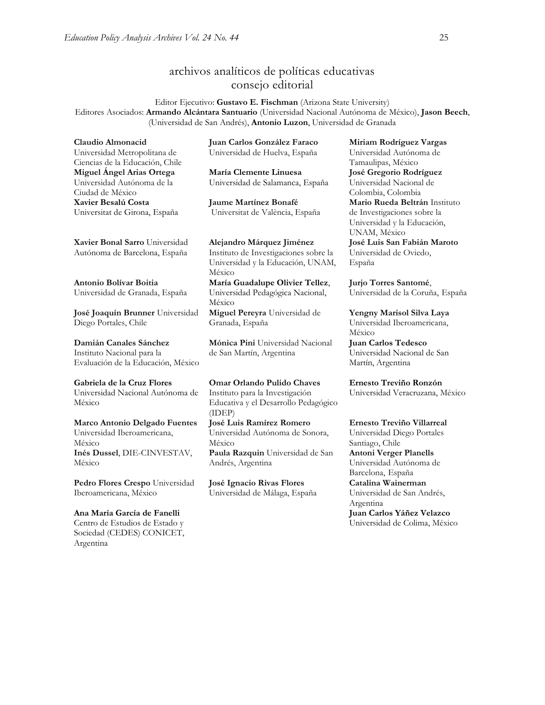## archivos analíticos de políticas educativas consejo editorial

Editor Ejecutivo: **Gustavo E. Fischman** (Arizona State University) Editores Asociados: **Armando Alcántara Santuario** (Universidad Nacional Autónoma de México), **Jason Beech**, (Universidad de San Andrés), **Antonio Luzon**, Universidad de Granada

**Claudio Almonacid** Universidad Metropolitana de Ciencias de la Educación, Chile **Miguel Ángel Arias Ortega**  Universidad Autónoma de la Ciudad de México **Xavier Besalú Costa**  Universitat de Girona, España

**Juan Carlos González Faraco**  Universidad de Huelva, España

**María Clemente Linuesa**  Universidad de Salamanca, España

**Jaume Martínez Bonafé** Universitat de València, España

**[Xavier Bonal](javascript:openRTWindow() Sarro** Universidad Autónoma de Barcelona, España

**[Antonio Bolívar](javascript:openRTWindow() Boitia** Universidad de Granada, España

**[José Joaquín Brunner](javascript:openRTWindow()** Universidad Diego Portales, Chile

**[Damián Canales Sánchez](javascript:openRTWindow()** Instituto Nacional para la Evaluación de la Educación, México

**Gabriela de la Cruz Flores** Universidad Nacional Autónoma de México

**[Marco Antonio Delgado Fuentes](javascript:openRTWindow()** Universidad Iberoamericana, México **[Inés Dussel](javascript:openRTWindow()**, DIE-CINVESTAV, México

**[Pedro Flores Crespo](javascript:openRTWindow()** Universidad Iberoamericana, México

**Ana María García de Fanelli**  Centro de Estudios de Estado y Sociedad (CEDES) CONICET, Argentina

**Alejandro Márquez Jiménez**  Instituto de Investigaciones sobre la Universidad y la Educación, UNAM, México **María Guadalupe Olivier Tellez**, Universidad Pedagógica Nacional, México

**[Miguel Pereyra](javascript:openRTWindow()** Universidad de Granada, España

**[Mónica Pini](javascript:openRTWindow()** Universidad Nacional de San Martín, Argentina

**Omar Orlando Pulido Chaves** Instituto para la Investigación Educativa y el Desarrollo Pedagógico (IDEP)

**[José Luis Ramírez](javascript:openRTWindow() Romero** Universidad Autónoma de Sonora, México **[Paula Razquin](javascript:openRTWindow()** Universidad de San Andrés, Argentina

**José Ignacio Rivas Flores** Universidad de Málaga, España **[Miriam Rodríguez Vargas](javascript:openRTWindow()** Universidad Autónoma de Tamaulipas, México **José Gregorio Rodríguez**  Universidad Nacional de Colombia, Colombia **[Mario Rueda Beltrán](javascript:openRTWindow()** Instituto de Investigaciones sobre la Universidad y la Educación, UNAM, México **José Luis San Fabián Maroto**  Universidad de Oviedo, España

**[Jurjo Torres Santomé](javascript:openRTWindow()**, Universidad de la Coruña, España

**[Yengny Marisol Silva Laya](javascript:openRTWindow()** Universidad Iberoamericana, México

**Juan Carlos Tedesco** Universidad Nacional de San Martín, Argentina

**Ernesto Treviño Ronzón** Universidad Veracruzana, México

**[Ernesto Treviño](javascript:openRTWindow() Villarreal** Universidad Diego Portales Santiago, Chile **[Antoni Verger Planells](javascript:openRTWindow()** Universidad Autónoma de Barcelona, España **[Catalina Wainerman](javascript:openRTWindow()** Universidad de San Andrés, Argentina **Juan Carlos Yáñez Velazco** Universidad de Colima, México